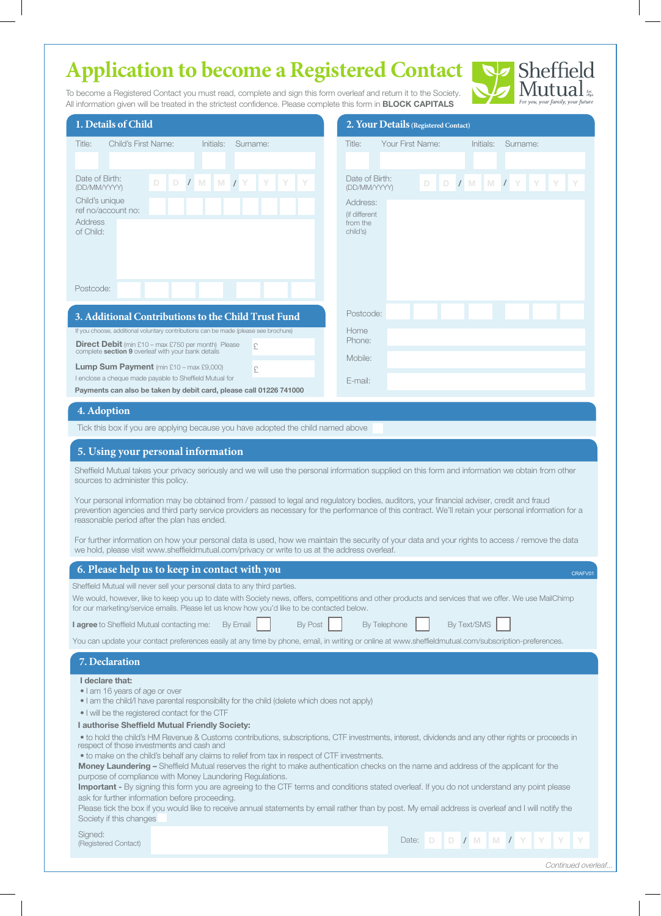## **Application to become a Registered Contact**



To become a Registered Contact you must read, complete and sign this form overleaf and return it to the Society.

| 1. Details of Child                                                                                                                                                                                                                                                                                                                                | 2. Your Details (Registered Contact)                |
|----------------------------------------------------------------------------------------------------------------------------------------------------------------------------------------------------------------------------------------------------------------------------------------------------------------------------------------------------|-----------------------------------------------------|
| Title:<br>Child's First Name:<br>Initials:<br>Surname:                                                                                                                                                                                                                                                                                             | Your First Name:<br>Surname:<br>Title:<br>Initials: |
|                                                                                                                                                                                                                                                                                                                                                    |                                                     |
| Date of Birth:<br>$I$ M $M$ $I$ $Y$<br>$\mathbb D$<br>$\Box$<br>(DD/MM/YYYY)                                                                                                                                                                                                                                                                       | Date of Birth:<br>(DD/MM/YYYY)                      |
| Child's unique<br>ref no/account no:                                                                                                                                                                                                                                                                                                               | Address:                                            |
| <b>Address</b><br>of Child:                                                                                                                                                                                                                                                                                                                        | (if different<br>from the<br>child's)               |
| Postcode:                                                                                                                                                                                                                                                                                                                                          |                                                     |
| 3. Additional Contributions to the Child Trust Fund                                                                                                                                                                                                                                                                                                | Postcode:                                           |
| If you choose, additional voluntary contributions can be made (please see brochure)                                                                                                                                                                                                                                                                | Home                                                |
| <b>Direct Debit</b> (min £10 – max £750 per month) Please<br>£<br>complete section 9 overleaf with your bank details                                                                                                                                                                                                                               | Phone:                                              |
| <b>Lump Sum Payment</b> (min £10 - max £9,000)<br>£                                                                                                                                                                                                                                                                                                | Mobile:                                             |
| I enclose a cheque made payable to Sheffield Mutual for                                                                                                                                                                                                                                                                                            | E-mail:                                             |
| Payments can also be taken by debit card, please call 01226 741000                                                                                                                                                                                                                                                                                 |                                                     |
| 4. Adoption                                                                                                                                                                                                                                                                                                                                        |                                                     |
| Tick this box if you are applying because you have adopted the child named above                                                                                                                                                                                                                                                                   |                                                     |
| 5. Using your personal information                                                                                                                                                                                                                                                                                                                 |                                                     |
| Sheffield Mutual takes your privacy seriously and we will use the personal information supplied on this form and information we obtain from other<br>sources to administer this policy.                                                                                                                                                            |                                                     |
| Your personal information may be obtained from / passed to legal and regulatory bodies, auditors, your financial adviser, credit and fraud<br>prevention agencies and third party service providers as necessary for the performance of this contract. We'll retain your personal information for a<br>reasonable period after the plan has ended. |                                                     |
| For further information on how your personal data is used, how we maintain the security of your data and your rights to access / remove the data<br>we hold, please visit www.sheffieldmutual.com/privacy or write to us at the address overleaf.                                                                                                  |                                                     |
| 6. Please help us to keep in contact with you                                                                                                                                                                                                                                                                                                      | CRAFV01                                             |
| Sheffield Mutual will never sell your personal data to any third parties.                                                                                                                                                                                                                                                                          |                                                     |
| We would, however, like to keep you up to date with Society news, offers, competitions and other products and services that we offer. We use MailChimp<br>for our marketing/service emails. Please let us know how you'd like to be contacted below.                                                                                               |                                                     |
| By Post<br>I agree to Sheffield Mutual contacting me:<br>By Email                                                                                                                                                                                                                                                                                  | By Text/SMS<br>By Telephone                         |
| You can update your contact preferences easily at any time by phone, email, in writing or online at www.sheffieldmutual.com/subscription-preferences.                                                                                                                                                                                              |                                                     |
| 7. Declaration                                                                                                                                                                                                                                                                                                                                     |                                                     |
| I declare that:<br>. I am 16 years of age or over<br>• I am the child/I have parental responsibility for the child (delete which does not apply)<br>. I will be the registered contact for the CTF                                                                                                                                                 |                                                     |
| I authorise Sheffield Mutual Friendly Society:                                                                                                                                                                                                                                                                                                     |                                                     |
| • to hold the child's HM Revenue & Customs contributions, subscriptions, CTF investments, interest, dividends and any other rights or proceeds in<br>respect of those investments and cash and                                                                                                                                                     |                                                     |
| • to make on the child's behalf any claims to relief from tax in respect of CTF investments.<br>Money Laundering - Sheffield Mutual reserves the right to make authentication checks on the name and address of the applicant for the<br>purpose of compliance with Money Laundering Regulations.                                                  |                                                     |
| Important - By signing this form you are agreeing to the CTF terms and conditions stated overleaf. If you do not understand any point please<br>ask for further information before proceeding.                                                                                                                                                     |                                                     |

Please tick the box if you would like to receive annual statements by email rather than by post. My email address is overleaf and I will notify the Society if this changes

Signed: (Registered Contact)